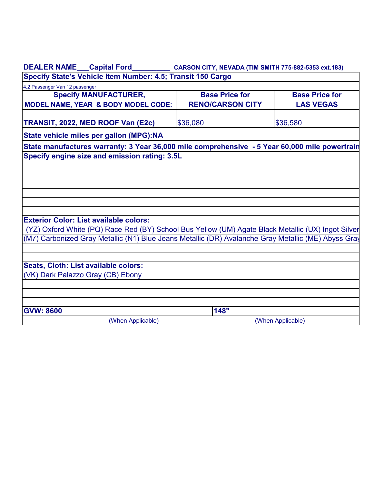| <b>DEALER NAME</b>                                          | <b>Capital Ford</b> | CARSON CITY, NEVADA (TIM SMITH 775-882-5353 ext.183) |  |  |  |
|-------------------------------------------------------------|---------------------|------------------------------------------------------|--|--|--|
| Specify State's Vehicle Item Number: 4.5; Transit 150 Cargo |                     |                                                      |  |  |  |

| 4.2 Passenger Van 12 passenger                                                                                                                      |                         |                       |
|-----------------------------------------------------------------------------------------------------------------------------------------------------|-------------------------|-----------------------|
| <b>Specify MANUFACTURER,</b>                                                                                                                        | <b>Base Price for</b>   | <b>Base Price for</b> |
| MODEL NAME, YEAR & BODY MODEL CODE:                                                                                                                 | <b>RENO/CARSON CITY</b> | <b>LAS VEGAS</b>      |
|                                                                                                                                                     |                         |                       |
| TRANSIT, 2022, MED ROOF Van (E2c)                                                                                                                   | \$36,080                | \$36,580              |
| State vehicle miles per gallon (MPG):NA                                                                                                             |                         |                       |
| State manufactures warranty: 3 Year 36,000 mile comprehensive - 5 Year 60,000 mile powertrain                                                       |                         |                       |
| Specify engine size and emission rating: 3.5L                                                                                                       |                         |                       |
| <b>Exterior Color: List available colors:</b><br>(YZ) Oxford White (PQ) Race Red (BY) School Bus Yellow (UM) Agate Black Metallic (UX) Ingot Silver |                         |                       |
| (M7) Carbonized Gray Metallic (N1) Blue Jeans Metallic (DR) Avalanche Gray Metallic (ME) Abyss Gray                                                 |                         |                       |
| Seats, Cloth: List available colors:                                                                                                                |                         |                       |
| (VK) Dark Palazzo Gray (CB) Ebony                                                                                                                   |                         |                       |
|                                                                                                                                                     |                         |                       |
|                                                                                                                                                     |                         |                       |
|                                                                                                                                                     |                         |                       |
| <b>GVW: 8600</b>                                                                                                                                    | 148"                    |                       |
| (When Applicable)                                                                                                                                   |                         | (When Applicable)     |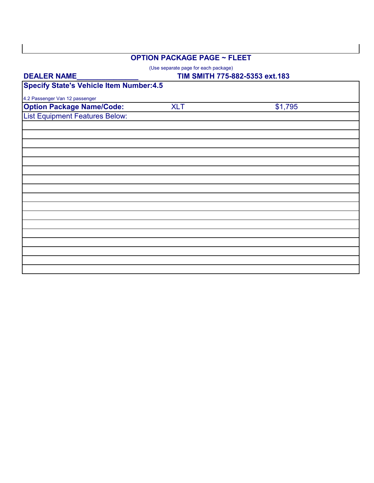## **OPTION PACKAGE PAGE ~ FLEET**

(Use separate page for each package)

| <b>DEALER NAME</b>                             |            | TIM SMITH 775-882-5353 ext.183 |  |  |
|------------------------------------------------|------------|--------------------------------|--|--|
| <b>Specify State's Vehicle Item Number:4.5</b> |            |                                |  |  |
| 4.2 Passenger Van 12 passenger                 |            |                                |  |  |
| <b>Option Package Name/Code:</b>               | <b>XLT</b> | \$1,795                        |  |  |
| <b>List Equipment Features Below:</b>          |            |                                |  |  |
|                                                |            |                                |  |  |
|                                                |            |                                |  |  |
|                                                |            |                                |  |  |
|                                                |            |                                |  |  |
|                                                |            |                                |  |  |
|                                                |            |                                |  |  |
|                                                |            |                                |  |  |
|                                                |            |                                |  |  |
|                                                |            |                                |  |  |
|                                                |            |                                |  |  |
|                                                |            |                                |  |  |
|                                                |            |                                |  |  |
|                                                |            |                                |  |  |
|                                                |            |                                |  |  |
|                                                |            |                                |  |  |
|                                                |            |                                |  |  |
|                                                |            |                                |  |  |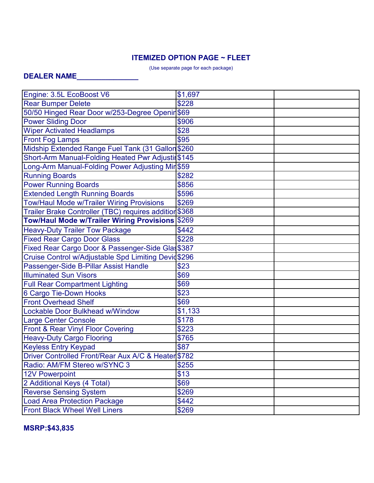## **ITEMIZED OPTION PAGE ~ FLEET**

(Use separate page for each package)

## **DEALER NAME\_\_\_\_\_\_\_\_\_\_\_\_\_\_\_**

| Engine: 3.5L EcoBoost V6                               | \$1,697 |  |  |  |
|--------------------------------------------------------|---------|--|--|--|
| <b>Rear Bumper Delete</b>                              | \$228   |  |  |  |
| 50/50 Hinged Rear Door w/253-Degree Openir \$69        |         |  |  |  |
| <b>Power Sliding Door</b>                              | \$906   |  |  |  |
| <b>Wiper Activated Headlamps</b>                       | \$28    |  |  |  |
| <b>Front Fog Lamps</b>                                 | \$95    |  |  |  |
| Midship Extended Range Fuel Tank (31 Gallon \$260      |         |  |  |  |
| Short-Arm Manual-Folding Heated Pwr Adjustin \$145     |         |  |  |  |
| Long-Arm Manual-Folding Power Adjusting Mir \$59       |         |  |  |  |
| <b>Running Boards</b>                                  | \$282   |  |  |  |
| <b>Power Running Boards</b>                            | \$856   |  |  |  |
| <b>Extended Length Running Boards</b>                  | \$596   |  |  |  |
| <b>Tow/Haul Mode w/Trailer Wiring Provisions</b>       | \$269   |  |  |  |
| Trailer Brake Controller (TBC) requires addition \$368 |         |  |  |  |
| <b>Tow/Haul Mode w/Trailer Wiring Provisions</b>       | \$269   |  |  |  |
| <b>Heavy-Duty Trailer Tow Package</b>                  | \$442   |  |  |  |
| <b>Fixed Rear Cargo Door Glass</b>                     | \$228   |  |  |  |
| Fixed Rear Cargo Door & Passenger-Side Glas\$387       |         |  |  |  |
| Cruise Control w/Adjustable Spd Limiting Devid\$296    |         |  |  |  |
| Passenger-Side B-Pillar Assist Handle                  | \$23    |  |  |  |
| <b>Illuminated Sun Visors</b>                          | \$69    |  |  |  |
| <b>Full Rear Compartment Lighting</b>                  | \$69    |  |  |  |
| <b>6 Cargo Tie-Down Hooks</b>                          | \$23    |  |  |  |
| <b>Front Overhead Shelf</b>                            | \$69    |  |  |  |
| <b>Lockable Door Bulkhead w/Window</b>                 | \$1,133 |  |  |  |
| <b>Large Center Console</b>                            | \$178   |  |  |  |
| Front & Rear Vinyl Floor Covering                      | \$223   |  |  |  |
| <b>Heavy-Duty Cargo Flooring</b>                       | \$765   |  |  |  |
| <b>Keyless Entry Keypad</b>                            | \$87    |  |  |  |
| Driver Controlled Front/Rear Aux A/C & Heater \$782    |         |  |  |  |
| Radio: AM/FM Stereo w/SYNC 3                           | \$255   |  |  |  |
| <b>12V Powerpoint</b>                                  | \$13    |  |  |  |
| 2 Additional Keys (4 Total)                            | \$69    |  |  |  |
| <b>Reverse Sensing System</b>                          | \$269   |  |  |  |
| <b>Load Area Protection Package</b>                    | \$442   |  |  |  |
| <b>Front Black Wheel Well Liners</b>                   | \$269   |  |  |  |

**MSRP:\$43,835**